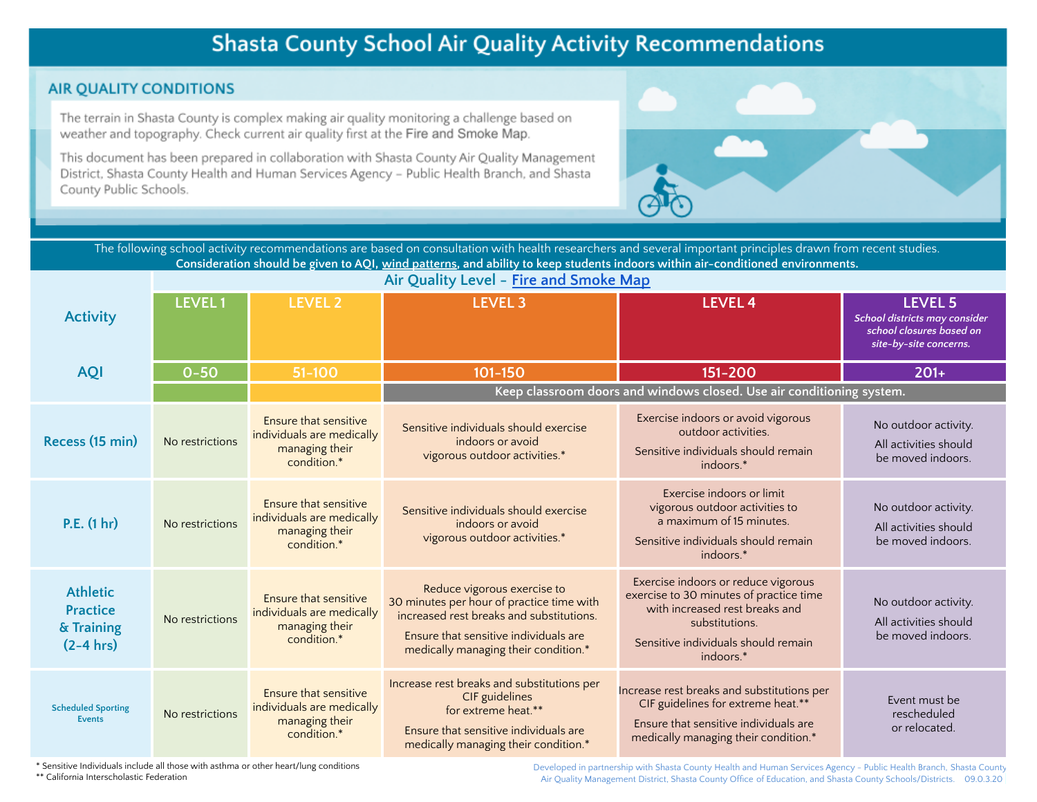# **Shasta County School Air Quality Activity Recommendations**

## **AIR QUALITY CONDITIONS**

The terrain in Shasta County is complex making air quality monitoring a challenge based on weather and topography. Check current air quality first at the Fire and Smoke Map.

This document has been prepared in collaboration with Shasta County Air Quality Management District, Shasta County Health and Human Services Agency - Public Health Branch, and Shasta County Public Schools.



The following school activity recommendations are based on consultation with health researchers and several important principles drawn from recent studies. Consideration should be given to AQI, wind [patterns,](https://www.ventusky.com/?p=40.636;-122.504;9&l=wind-10m) and ability to keep students indoors within air-conditioned environments.

|                                                                 | Air Quality Level - Fire and Smoke Map |                                                                                     |                                                                                                                                                                                                       |                                                                                                                                                                                        |                                                                                                       |
|-----------------------------------------------------------------|----------------------------------------|-------------------------------------------------------------------------------------|-------------------------------------------------------------------------------------------------------------------------------------------------------------------------------------------------------|----------------------------------------------------------------------------------------------------------------------------------------------------------------------------------------|-------------------------------------------------------------------------------------------------------|
| <b>Activity</b>                                                 | <b>LEVEL1</b>                          | <b>LEVEL 2</b>                                                                      | <b>LEVEL 3</b>                                                                                                                                                                                        | <b>LEVEL 4</b>                                                                                                                                                                         | <b>LEVEL 5</b><br>School districts may consider<br>school closures based on<br>site-by-site concerns. |
| <b>AQI</b>                                                      | $0 - 50$                               | $51 - 100$                                                                          | 101-150                                                                                                                                                                                               | 151-200                                                                                                                                                                                | $201+$                                                                                                |
|                                                                 |                                        |                                                                                     | Keep classroom doors and windows closed. Use air conditioning system.                                                                                                                                 |                                                                                                                                                                                        |                                                                                                       |
| Recess (15 min)                                                 | No restrictions                        | Ensure that sensitive<br>individuals are medically<br>managing their<br>condition.* | Sensitive individuals should exercise<br>indoors or avoid<br>vigorous outdoor activities.*                                                                                                            | Exercise indoors or avoid vigorous<br>outdoor activities.<br>Sensitive individuals should remain<br>indoors.*                                                                          | No outdoor activity.<br>All activities should<br>be moved indoors.                                    |
| P.E. (1 hr)                                                     | No restrictions                        | Ensure that sensitive<br>individuals are medically<br>managing their<br>condition.* | Sensitive individuals should exercise<br>indoors or avoid<br>vigorous outdoor activities.*                                                                                                            | Exercise indoors or limit<br>vigorous outdoor activities to<br>a maximum of 15 minutes.<br>Sensitive individuals should remain<br>indoors.*                                            | No outdoor activity.<br>All activities should<br>be moved indoors.                                    |
| <b>Athletic</b><br><b>Practice</b><br>& Training<br>$(2-4 hrs)$ | No restrictions                        | Ensure that sensitive<br>individuals are medically<br>managing their<br>condition.* | Reduce vigorous exercise to<br>30 minutes per hour of practice time with<br>increased rest breaks and substitutions.<br>Ensure that sensitive individuals are<br>medically managing their condition.* | Exercise indoors or reduce vigorous<br>exercise to 30 minutes of practice time<br>with increased rest breaks and<br>substitutions.<br>Sensitive individuals should remain<br>indoors.* | No outdoor activity.<br>All activities should<br>be moved indoors.                                    |
| <b>Scheduled Sporting</b><br><b>Events</b>                      | No restrictions                        | Ensure that sensitive<br>individuals are medically<br>managing their<br>condition.* | Increase rest breaks and substitutions per<br>CIF guidelines<br>for extreme heat.**<br>Ensure that sensitive individuals are<br>medically managing their condition.*                                  | Increase rest breaks and substitutions per<br>CIF guidelines for extreme heat.**<br>Ensure that sensitive individuals are<br>medically managing their condition.*                      | Event must be<br>rescheduled<br>or relocated.                                                         |

\* Sensitive Individuals include all those with asthma or other heart/lung conditions \*\* California Interscholastic Federation

Developed in partnership with Shasta County Health and Human Services Agency - Public Health Branch, Shasta County Air Quality Management District, Shasta County Office of Education, and Shasta County Schools/Districts. 09.0.3.20